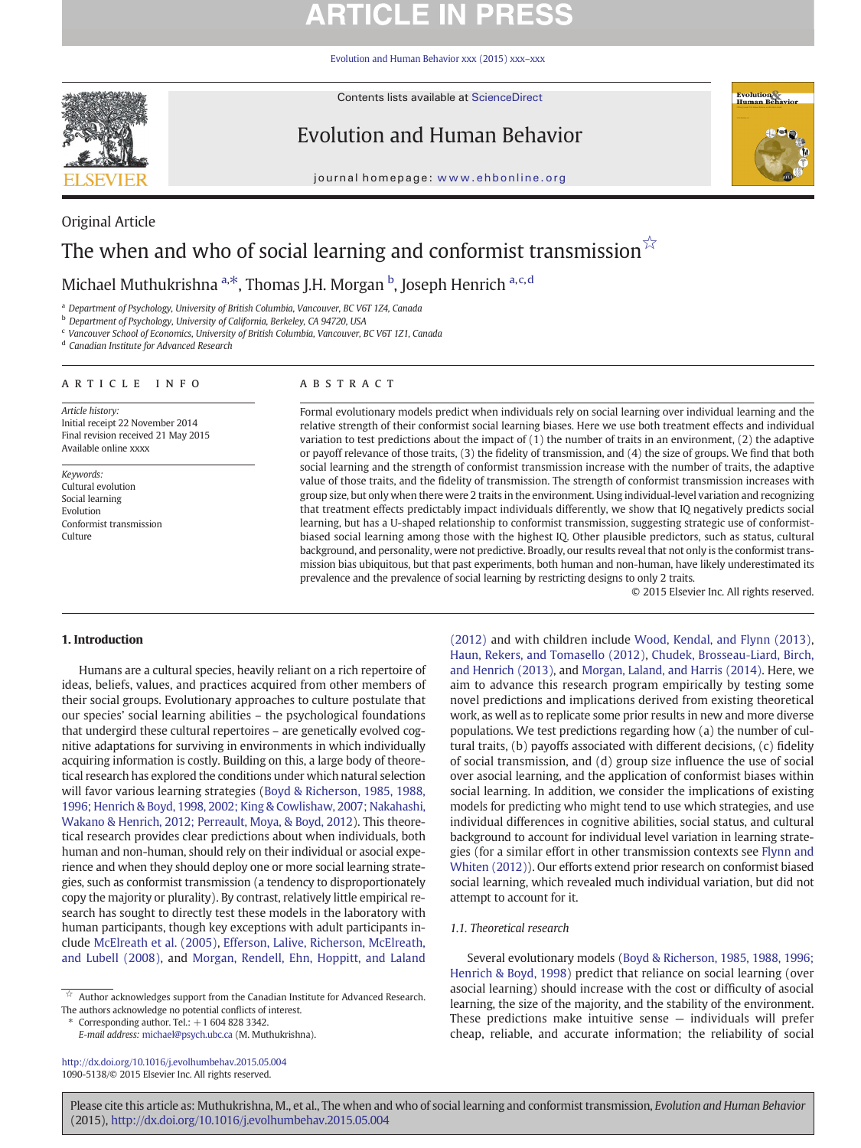# **ARTICLE IN PRESS**

[Evolution and Human Behavior xxx \(2015\) xxx](http://dx.doi.org/10.1016/j.evolhumbehav.2015.05.004)–xxx



Contents lists available at ScienceDirect

## Evolution and Human Behavior



journal homepage: www.ehbonline.org

## Original Article The when and who of social learning and conformist transmission $\sqrt{\alpha}$

Michael Muthukrishna <sup>a, $\ast$ </sup>, Thomas J.H. Morgan <sup>b</sup>, Joseph Henrich <sup>a,c,d</sup>

a Department of Psychology, University of British Columbia, Vancouver, BC V6T 1Z4, Canada

<sup>b</sup> Department of Psychology, University of California, Berkeley, CA 94720, USA

<sup>c</sup> Vancouver School of Economics, University of British Columbia, Vancouver, BC V6T 1Z1, Canada

<sup>d</sup> Canadian Institute for Advanced Research

### article info abstract

Article history: Initial receipt 22 November 2014 Final revision received 21 May 2015 Available online xxxx

Keywords: Cultural evolution Social learning Evolution Conformist transmission Culture

Formal evolutionary models predict when individuals rely on social learning over individual learning and the relative strength of their conformist social learning biases. Here we use both treatment effects and individual variation to test predictions about the impact of (1) the number of traits in an environment, (2) the adaptive or payoff relevance of those traits, (3) the fidelity of transmission, and (4) the size of groups. We find that both social learning and the strength of conformist transmission increase with the number of traits, the adaptive value of those traits, and the fidelity of transmission. The strength of conformist transmission increases with group size, but only when there were 2 traits in the environment. Using individual-level variation and recognizing that treatment effects predictably impact individuals differently, we show that IQ negatively predicts social learning, but has a U-shaped relationship to conformist transmission, suggesting strategic use of conformistbiased social learning among those with the highest IQ. Other plausible predictors, such as status, cultural background, and personality, were not predictive. Broadly, our results reveal that not only is the conformist transmission bias ubiquitous, but that past experiments, both human and non-human, have likely underestimated its prevalence and the prevalence of social learning by restricting designs to only 2 traits.

© 2015 Elsevier Inc. All rights reserved.

### 1. Introduction

Humans are a cultural species, heavily reliant on a rich repertoire of ideas, beliefs, values, and practices acquired from other members of their social groups. Evolutionary approaches to culture postulate that our species' social learning abilities – the psychological foundations that undergird these cultural repertoires – are genetically evolved cognitive adaptations for surviving in environments in which individually acquiring information is costly. Building on this, a large body of theoretical research has explored the conditions under which natural selection will favor various learning strategies [\(Boyd & Richerson, 1985, 1988,](#page-9-0) [1996; Henrich & Boyd, 1998, 2002; King & Cowlishaw, 2007; Nakahashi,](#page-9-0) [Wakano & Henrich, 2012; Perreault, Moya, & Boyd, 2012](#page-9-0)). This theoretical research provides clear predictions about when individuals, both human and non-human, should rely on their individual or asocial experience and when they should deploy one or more social learning strategies, such as conformist transmission (a tendency to disproportionately copy the majority or plurality). By contrast, relatively little empirical research has sought to directly test these models in the laboratory with human participants, though key exceptions with adult participants include [McElreath et al. \(2005\)](#page-10-0), [Efferson, Lalive, Richerson, McElreath,](#page-9-0) [and Lubell \(2008\),](#page-9-0) and [Morgan, Rendell, Ehn, Hoppitt, and Laland](#page-10-0)

Corresponding author. Tel.:  $+16048283342$ .

E-mail address: [michael@psych.ubc.ca](mailto:michael@psych.ubc.ca) (M. Muthukrishna).

<http://dx.doi.org/10.1016/j.evolhumbehav.2015.05.004> 1090-5138/© 2015 Elsevier Inc. All rights reserved.

[\(2012\)](#page-10-0) and with children include [Wood, Kendal, and Flynn \(2013\),](#page-10-0) [Haun, Rekers, and Tomasello \(2012\)](#page-10-0), [Chudek, Brosseau](#page-9-0)‐Liard, Birch, [and Henrich \(2013\),](#page-9-0) and [Morgan, Laland, and Harris \(2014\).](#page-10-0) Here, we aim to advance this research program empirically by testing some novel predictions and implications derived from existing theoretical work, as well as to replicate some prior results in new and more diverse populations. We test predictions regarding how (a) the number of cultural traits, (b) payoffs associated with different decisions, (c) fidelity of social transmission, and (d) group size influence the use of social over asocial learning, and the application of conformist biases within social learning. In addition, we consider the implications of existing models for predicting who might tend to use which strategies, and use individual differences in cognitive abilities, social status, and cultural background to account for individual level variation in learning strategies (for a similar effort in other transmission contexts see [Flynn and](#page-9-0) [Whiten \(2012\)\)](#page-9-0). Our efforts extend prior research on conformist biased social learning, which revealed much individual variation, but did not attempt to account for it.

### 1.1. Theoretical research

Several evolutionary models ([Boyd & Richerson, 1985, 1988, 1996;](#page-9-0) [Henrich & Boyd, 1998](#page-9-0)) predict that reliance on social learning (over asocial learning) should increase with the cost or difficulty of asocial learning, the size of the majority, and the stability of the environment. These predictions make intuitive sense — individuals will prefer cheap, reliable, and accurate information; the reliability of social

<sup>☆</sup> Author acknowledges support from the Canadian Institute for Advanced Research. The authors acknowledge no potential conflicts of interest.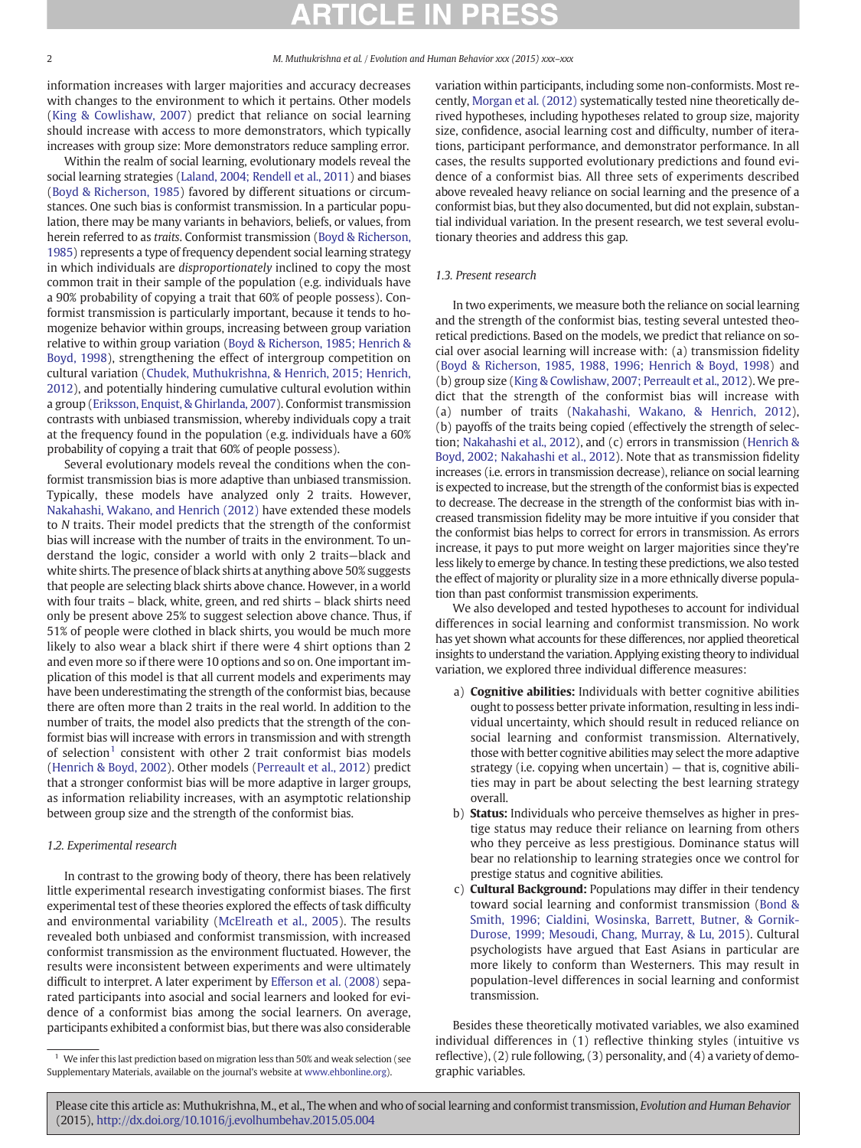information increases with larger majorities and accuracy decreases with changes to the environment to which it pertains. Other models ([King & Cowlishaw, 2007](#page-10-0)) predict that reliance on social learning should increase with access to more demonstrators, which typically increases with group size: More demonstrators reduce sampling error.

Within the realm of social learning, evolutionary models reveal the social learning strategies ([Laland, 2004; Rendell et al., 2011](#page-10-0)) and biases ([Boyd & Richerson, 1985](#page-9-0)) favored by different situations or circumstances. One such bias is conformist transmission. In a particular population, there may be many variants in behaviors, beliefs, or values, from herein referred to as traits. Conformist transmission ([Boyd & Richerson,](#page-9-0) [1985](#page-9-0)) represents a type of frequency dependent social learning strategy in which individuals are disproportionately inclined to copy the most common trait in their sample of the population (e.g. individuals have a 90% probability of copying a trait that 60% of people possess). Conformist transmission is particularly important, because it tends to homogenize behavior within groups, increasing between group variation relative to within group variation ([Boyd & Richerson, 1985; Henrich &](#page-9-0) [Boyd, 1998\)](#page-9-0), strengthening the effect of intergroup competition on cultural variation [\(Chudek, Muthukrishna, & Henrich, 2015; Henrich,](#page-9-0) [2012](#page-9-0)), and potentially hindering cumulative cultural evolution within a group [\(Eriksson, Enquist, & Ghirlanda, 2007](#page-9-0)). Conformist transmission contrasts with unbiased transmission, whereby individuals copy a trait at the frequency found in the population (e.g. individuals have a 60% probability of copying a trait that 60% of people possess).

Several evolutionary models reveal the conditions when the conformist transmission bias is more adaptive than unbiased transmission. Typically, these models have analyzed only 2 traits. However, [Nakahashi, Wakano, and Henrich \(2012\)](#page-10-0) have extended these models to N traits. Their model predicts that the strength of the conformist bias will increase with the number of traits in the environment. To understand the logic, consider a world with only 2 traits—black and white shirts. The presence of black shirts at anything above 50% suggests that people are selecting black shirts above chance. However, in a world with four traits – black, white, green, and red shirts – black shirts need only be present above 25% to suggest selection above chance. Thus, if 51% of people were clothed in black shirts, you would be much more likely to also wear a black shirt if there were 4 shirt options than 2 and even more so if there were 10 options and so on. One important implication of this model is that all current models and experiments may have been underestimating the strength of the conformist bias, because there are often more than 2 traits in the real world. In addition to the number of traits, the model also predicts that the strength of the conformist bias will increase with errors in transmission and with strength of selection<sup>1</sup> consistent with other 2 trait conformist bias models ([Henrich & Boyd, 2002\)](#page-10-0). Other models [\(Perreault et al., 2012](#page-10-0)) predict that a stronger conformist bias will be more adaptive in larger groups, as information reliability increases, with an asymptotic relationship between group size and the strength of the conformist bias.

### 1.2. Experimental research

In contrast to the growing body of theory, there has been relatively little experimental research investigating conformist biases. The first experimental test of these theories explored the effects of task difficulty and environmental variability ([McElreath et al., 2005\)](#page-10-0). The results revealed both unbiased and conformist transmission, with increased conformist transmission as the environment fluctuated. However, the results were inconsistent between experiments and were ultimately difficult to interpret. A later experiment by [Efferson et al. \(2008\)](#page-9-0) separated participants into asocial and social learners and looked for evidence of a conformist bias among the social learners. On average, participants exhibited a conformist bias, but there was also considerable variation within participants, including some non-conformists. Most recently, [Morgan et al. \(2012\)](#page-10-0) systematically tested nine theoretically derived hypotheses, including hypotheses related to group size, majority size, confidence, asocial learning cost and difficulty, number of iterations, participant performance, and demonstrator performance. In all cases, the results supported evolutionary predictions and found evidence of a conformist bias. All three sets of experiments described above revealed heavy reliance on social learning and the presence of a conformist bias, but they also documented, but did not explain, substantial individual variation. In the present research, we test several evolutionary theories and address this gap.

### 1.3. Present research

In two experiments, we measure both the reliance on social learning and the strength of the conformist bias, testing several untested theoretical predictions. Based on the models, we predict that reliance on social over asocial learning will increase with: (a) transmission fidelity ([Boyd & Richerson, 1985, 1988, 1996; Henrich & Boyd, 1998](#page-9-0)) and (b) group size ([King & Cowlishaw, 2007; Perreault et al., 2012\)](#page-10-0). We predict that the strength of the conformist bias will increase with (a) number of traits ([Nakahashi, Wakano, & Henrich, 2012](#page-10-0)), (b) payoffs of the traits being copied (effectively the strength of selection; [Nakahashi et al., 2012\)](#page-10-0), and (c) errors in transmission ([Henrich &](#page-10-0) [Boyd, 2002; Nakahashi et al., 2012](#page-10-0)). Note that as transmission fidelity increases (i.e. errors in transmission decrease), reliance on social learning is expected to increase, but the strength of the conformist bias is expected to decrease. The decrease in the strength of the conformist bias with increased transmission fidelity may be more intuitive if you consider that the conformist bias helps to correct for errors in transmission. As errors increase, it pays to put more weight on larger majorities since they're less likely to emerge by chance. In testing these predictions, we also tested the effect of majority or plurality size in a more ethnically diverse population than past conformist transmission experiments.

We also developed and tested hypotheses to account for individual differences in social learning and conformist transmission. No work has yet shown what accounts for these differences, nor applied theoretical insights to understand the variation. Applying existing theory to individual variation, we explored three individual difference measures:

- a) **Cognitive abilities:** Individuals with better cognitive abilities ought to possess better private information, resulting in less individual uncertainty, which should result in reduced reliance on social learning and conformist transmission. Alternatively, those with better cognitive abilities may select the more adaptive strategy (i.e. copying when uncertain) — that is, cognitive abilities may in part be about selecting the best learning strategy overall.
- b) Status: Individuals who perceive themselves as higher in prestige status may reduce their reliance on learning from others who they perceive as less prestigious. Dominance status will bear no relationship to learning strategies once we control for prestige status and cognitive abilities.
- c) Cultural Background: Populations may differ in their tendency toward social learning and conformist transmission [\(Bond &](#page-9-0) [Smith, 1996; Cialdini, Wosinska, Barrett, Butner, & Gornik-](#page-9-0)[Durose, 1999; Mesoudi, Chang, Murray, & Lu, 2015](#page-9-0)). Cultural psychologists have argued that East Asians in particular are more likely to conform than Westerners. This may result in population-level differences in social learning and conformist transmission.

Besides these theoretically motivated variables, we also examined individual differences in (1) reflective thinking styles (intuitive vs reflective), (2) rule following, (3) personality, and (4) a variety of demographic variables.

 $1$  We infer this last prediction based on migration less than 50% and weak selection (see Supplementary Materials, available on the journal's website at [www.ehbonline.org](http://www.ehbonline.org)).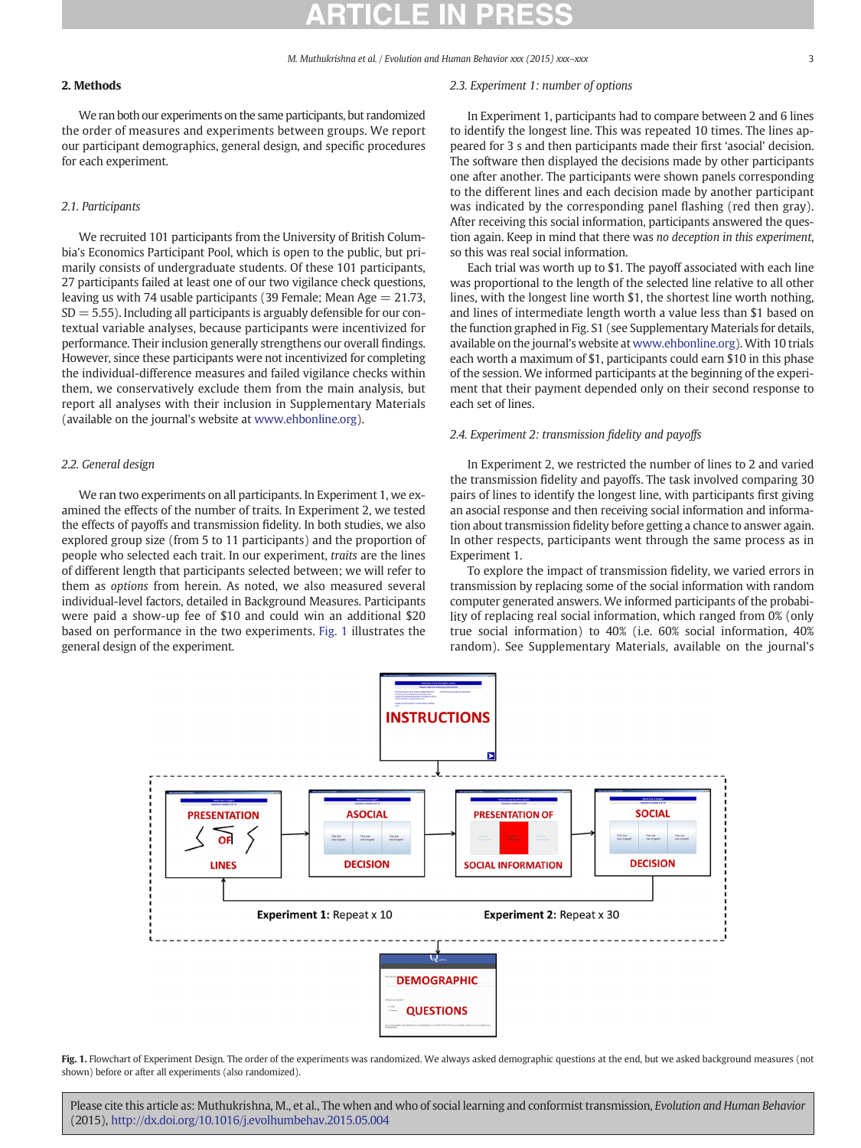### 2. Methods

We ran both our experiments on the same participants, but randomized the order of measures and experiments between groups. We report our participant demographics, general design, and specific procedures for each experiment.

### 2.1. Participants

We recruited 101 participants from the University of British Columbia's Economics Participant Pool, which is open to the public, but primarily consists of undergraduate students. Of these 101 participants, 27 participants failed at least one of our two vigilance check questions, leaving us with 74 usable participants (39 Female; Mean Age  $= 21.73$ ,  $SD = 5.55$ ). Including all participants is arguably defensible for our contextual variable analyses, because participants were incentivized for performance. Their inclusion generally strengthens our overall findings. However, since these participants were not incentivized for completing the individual-difference measures and failed vigilance checks within them, we conservatively exclude them from the main analysis, but report all analyses with their inclusion in Supplementary Materials (available on the journal's website at [www.ehbonline.org](http://www.ehbonline.org)).

### 2.2. General design

We ran two experiments on all participants. In Experiment 1, we examined the effects of the number of traits. In Experiment 2, we tested the effects of payoffs and transmission fidelity. In both studies, we also explored group size (from 5 to 11 participants) and the proportion of people who selected each trait. In our experiment, traits are the lines of different length that participants selected between; we will refer to them as options from herein. As noted, we also measured several individual-level factors, detailed in Background Measures. Participants were paid a show-up fee of \$10 and could win an additional \$20 based on performance in the two experiments. Fig. 1 illustrates the general design of the experiment.

### 2.3. Experiment 1: number of options

In Experiment 1, participants had to compare between 2 and 6 lines to identify the longest line. This was repeated 10 times. The lines appeared for 3 s and then participants made their first 'asocial' decision. The software then displayed the decisions made by other participants one after another. The participants were shown panels corresponding to the different lines and each decision made by another participant was indicated by the corresponding panel flashing (red then gray). After receiving this social information, participants answered the question again. Keep in mind that there was no deception in this experiment, so this was real social information.

Each trial was worth up to \$1. The payoff associated with each line was proportional to the length of the selected line relative to all other lines, with the longest line worth \$1, the shortest line worth nothing, and lines of intermediate length worth a value less than \$1 based on the function graphed in Fig. S1 (see Supplementary Materials for details, available on the journal's website at [www.ehbonline.org](http://www.ehbonline.org)). With 10 trials each worth a maximum of \$1, participants could earn \$10 in this phase of the session. We informed participants at the beginning of the experiment that their payment depended only on their second response to each set of lines.

### 2.4. Experiment 2: transmission fidelity and payoffs

In Experiment 2, we restricted the number of lines to 2 and varied the transmission fidelity and payoffs. The task involved comparing 30 pairs of lines to identify the longest line, with participants first giving an asocial response and then receiving social information and information about transmission fidelity before getting a chance to answer again. In other respects, participants went through the same process as in Experiment 1.

To explore the impact of transmission fidelity, we varied errors in transmission by replacing some of the social information with random computer generated answers. We informed participants of the probability of replacing real social information, which ranged from 0% (only true social information) to 40% (i.e. 60% social information, 40% random). See Supplementary Materials, available on the journal's



Fig. 1. Flowchart of Experiment Design. The order of the experiments was randomized. We always asked demographic questions at the end, but we asked background measures (not shown) before or after all experiments (also randomized).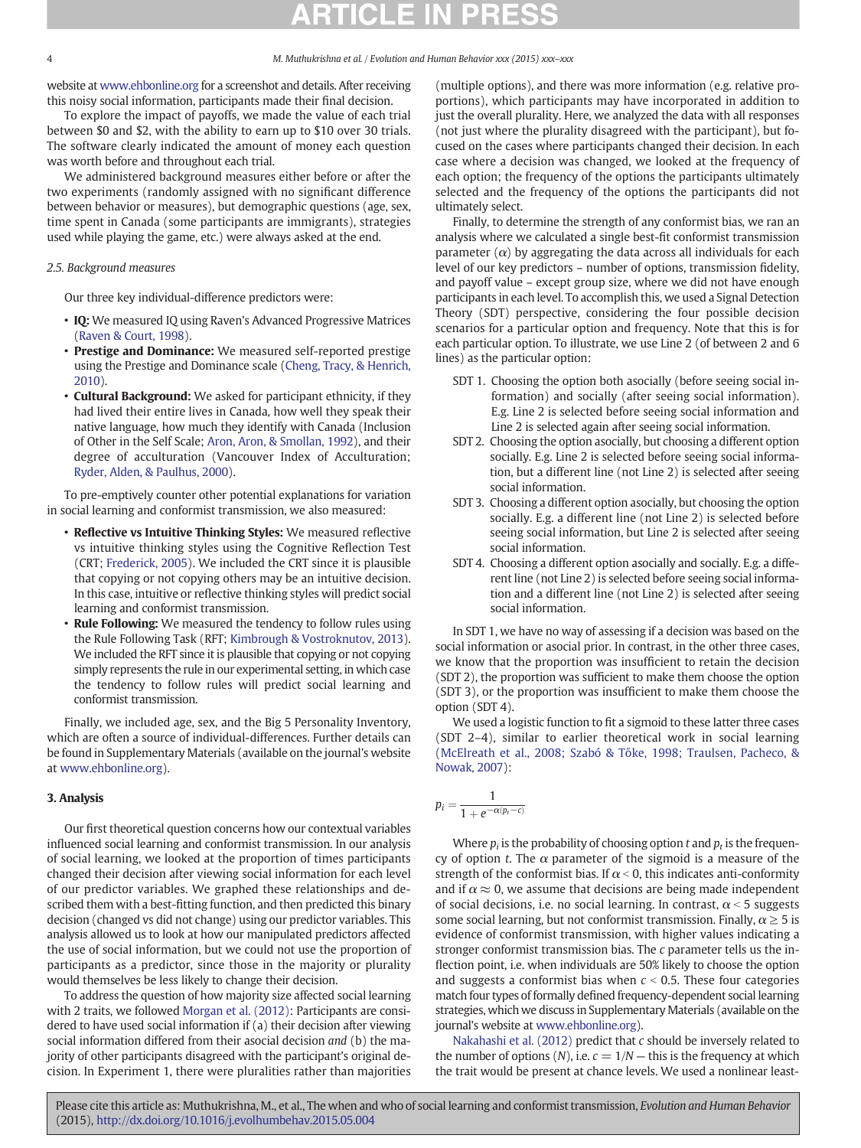website at [www.ehbonline.org](http://www.ehbonline.org) for a screenshot and details. After receiving this noisy social information, participants made their final decision.

To explore the impact of payoffs, we made the value of each trial between \$0 and \$2, with the ability to earn up to \$10 over 30 trials. The software clearly indicated the amount of money each question was worth before and throughout each trial.

We administered background measures either before or after the two experiments (randomly assigned with no significant difference between behavior or measures), but demographic questions (age, sex, time spent in Canada (some participants are immigrants), strategies used while playing the game, etc.) were always asked at the end.

### 2.5. Background measures

Our three key individual-difference predictors were:

- IQ: We measured IQ using Raven's Advanced Progressive Matrices [\(Raven & Court, 1998](#page-10-0)).
- Prestige and Dominance: We measured self-reported prestige using the Prestige and Dominance scale ([Cheng, Tracy, & Henrich,](#page-9-0) [2010\)](#page-9-0).
- Cultural Background: We asked for participant ethnicity, if they had lived their entire lives in Canada, how well they speak their native language, how much they identify with Canada (Inclusion of Other in the Self Scale; [Aron, Aron, & Smollan, 1992\)](#page-9-0), and their degree of acculturation (Vancouver Index of Acculturation; [Ryder, Alden, & Paulhus, 2000](#page-10-0)).

To pre-emptively counter other potential explanations for variation in social learning and conformist transmission, we also measured:

- Reflective vs Intuitive Thinking Styles: We measured reflective vs intuitive thinking styles using the Cognitive Reflection Test (CRT; [Frederick, 2005](#page-10-0)). We included the CRT since it is plausible that copying or not copying others may be an intuitive decision. In this case, intuitive or reflective thinking styles will predict social learning and conformist transmission.
- **Rule Following:** We measured the tendency to follow rules using the Rule Following Task (RFT; [Kimbrough & Vostroknutov, 2013](#page-10-0)). We included the RFT since it is plausible that copying or not copying simply represents the rule in our experimental setting, in which case the tendency to follow rules will predict social learning and conformist transmission.

Finally, we included age, sex, and the Big 5 Personality Inventory, which are often a source of individual-differences. Further details can be found in Supplementary Materials (available on the journal's website at [www.ehbonline.org](http://www.ehbonline.org)).

### 3. Analysis

Our first theoretical question concerns how our contextual variables influenced social learning and conformist transmission. In our analysis of social learning, we looked at the proportion of times participants changed their decision after viewing social information for each level of our predictor variables. We graphed these relationships and described them with a best-fitting function, and then predicted this binary decision (changed vs did not change) using our predictor variables. This analysis allowed us to look at how our manipulated predictors affected the use of social information, but we could not use the proportion of participants as a predictor, since those in the majority or plurality would themselves be less likely to change their decision.

To address the question of how majority size affected social learning with 2 traits, we followed [Morgan et al. \(2012\):](#page-10-0) Participants are considered to have used social information if (a) their decision after viewing social information differed from their asocial decision and (b) the majority of other participants disagreed with the participant's original decision. In Experiment 1, there were pluralities rather than majorities

(multiple options), and there was more information (e.g. relative proportions), which participants may have incorporated in addition to just the overall plurality. Here, we analyzed the data with all responses (not just where the plurality disagreed with the participant), but focused on the cases where participants changed their decision. In each case where a decision was changed, we looked at the frequency of each option; the frequency of the options the participants ultimately selected and the frequency of the options the participants did not ultimately select.

Finally, to determine the strength of any conformist bias, we ran an analysis where we calculated a single best-fit conformist transmission parameter  $(\alpha)$  by aggregating the data across all individuals for each level of our key predictors – number of options, transmission fidelity, and payoff value – except group size, where we did not have enough participants in each level. To accomplish this, we used a Signal Detection Theory (SDT) perspective, considering the four possible decision scenarios for a particular option and frequency. Note that this is for each particular option. To illustrate, we use Line 2 (of between 2 and 6 lines) as the particular option:

- SDT 1. Choosing the option both asocially (before seeing social information) and socially (after seeing social information). E.g. Line 2 is selected before seeing social information and Line 2 is selected again after seeing social information.
- SDT 2. Choosing the option asocially, but choosing a different option socially. E.g. Line 2 is selected before seeing social information, but a different line (not Line 2) is selected after seeing social information.
- SDT 3. Choosing a different option asocially, but choosing the option socially. E.g. a different line (not Line 2) is selected before seeing social information, but Line 2 is selected after seeing social information.
- SDT 4. Choosing a different option asocially and socially. E.g. a different line (not Line 2) is selected before seeing social information and a different line (not Line 2) is selected after seeing social information.

In SDT 1, we have no way of assessing if a decision was based on the social information or asocial prior. In contrast, in the other three cases, we know that the proportion was insufficient to retain the decision (SDT 2), the proportion was sufficient to make them choose the option (SDT 3), or the proportion was insufficient to make them choose the option (SDT 4).

We used a logistic function to fit a sigmoid to these latter three cases (SDT 2–4), similar to earlier theoretical work in social learning ([McElreath et al., 2008; Szabó & T](#page-10-0)őke, 1998; Traulsen, Pacheco, & [Nowak, 2007](#page-10-0)):

$$
p_i = \frac{1}{1 + e^{-\alpha(p_t - c)}}
$$

Where  $p_i$  is the probability of choosing option t and  $p_t$  is the frequency of option t. The  $\alpha$  parameter of the sigmoid is a measure of the strength of the conformist bias. If  $\alpha$  < 0, this indicates anti-conformity and if  $\alpha \approx 0$ , we assume that decisions are being made independent of social decisions, i.e. no social learning. In contrast,  $\alpha$  < 5 suggests some social learning, but not conformist transmission. Finally,  $\alpha \geq 5$  is evidence of conformist transmission, with higher values indicating a stronger conformist transmission bias. The c parameter tells us the inflection point, i.e. when individuals are 50% likely to choose the option and suggests a conformist bias when  $c < 0.5$ . These four categories match four types of formally defined frequency-dependent social learning strategies, which we discuss in Supplementary Materials (available on the journal's website at [www.ehbonline.org\)](http://www.ehbonline.org).

[Nakahashi et al. \(2012\)](#page-10-0) predict that c should be inversely related to the number of options  $(N)$ , i.e.  $c = 1/N$  — this is the frequency at which the trait would be present at chance levels. We used a nonlinear least-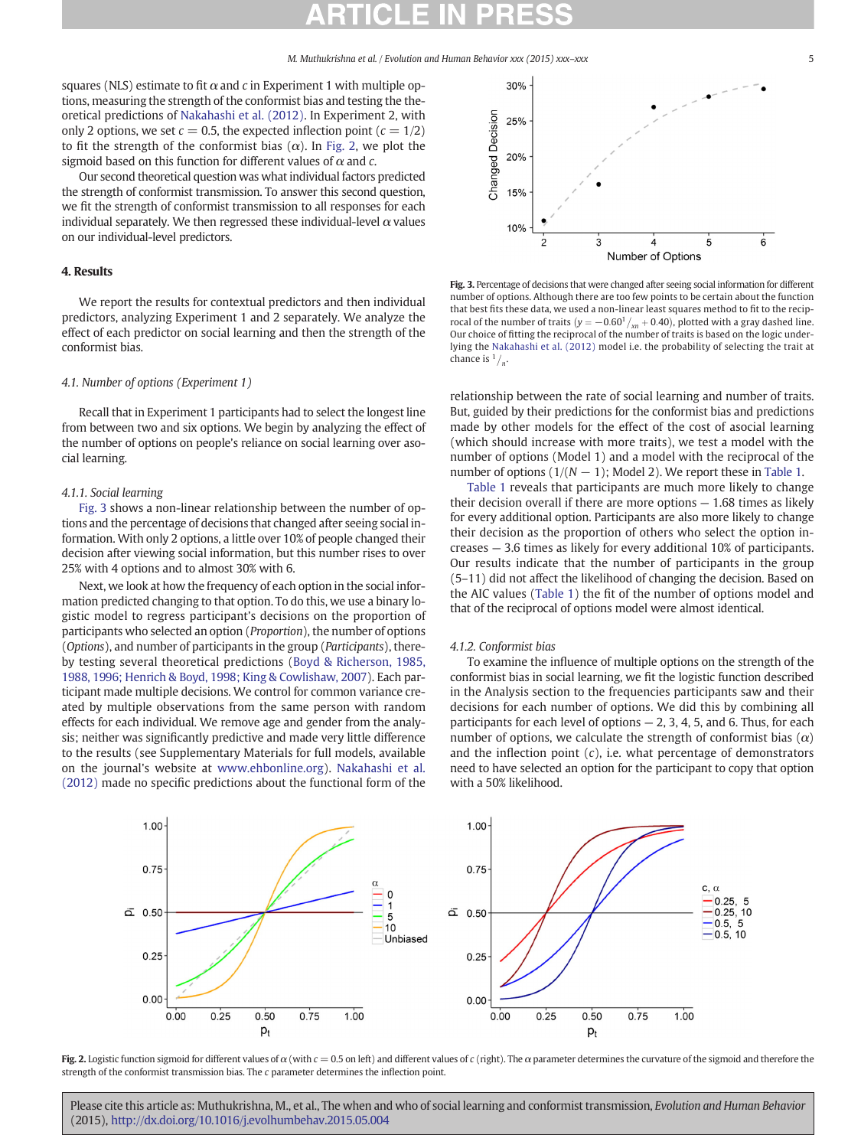<span id="page-4-0"></span>squares (NLS) estimate to fit  $\alpha$  and c in Experiment 1 with multiple options, measuring the strength of the conformist bias and testing the theoretical predictions of [Nakahashi et al. \(2012\).](#page-10-0) In Experiment 2, with only 2 options, we set  $c = 0.5$ , the expected inflection point  $(c = 1/2)$ to fit the strength of the conformist bias  $(\alpha)$ . In Fig. 2, we plot the sigmoid based on this function for different values of  $\alpha$  and  $c$ .

Our second theoretical question was what individual factors predicted the strength of conformist transmission. To answer this second question, we fit the strength of conformist transmission to all responses for each individual separately. We then regressed these individual-level  $\alpha$  values on our individual-level predictors.

### 4. Results

We report the results for contextual predictors and then individual predictors, analyzing Experiment 1 and 2 separately. We analyze the effect of each predictor on social learning and then the strength of the conformist bias.

### 4.1. Number of options (Experiment 1)

Recall that in Experiment 1 participants had to select the longest line from between two and six options. We begin by analyzing the effect of the number of options on people's reliance on social learning over asocial learning.

### 4.1.1. Social learning

Fig. 3 shows a non-linear relationship between the number of options and the percentage of decisions that changed after seeing social information. With only 2 options, a little over 10% of people changed their decision after viewing social information, but this number rises to over 25% with 4 options and to almost 30% with 6.

Next, we look at how the frequency of each option in the social information predicted changing to that option. To do this, we use a binary logistic model to regress participant's decisions on the proportion of participants who selected an option (Proportion), the number of options (Options), and number of participants in the group (Participants), thereby testing several theoretical predictions [\(Boyd & Richerson, 1985,](#page-9-0) [1988, 1996; Henrich & Boyd, 1998; King & Cowlishaw, 2007](#page-9-0)). Each participant made multiple decisions. We control for common variance created by multiple observations from the same person with random effects for each individual. We remove age and gender from the analysis; neither was significantly predictive and made very little difference to the results (see Supplementary Materials for full models, available on the journal's website at [www.ehbonline.org](http://www.ehbonline.org)). [Nakahashi et al.](#page-10-0) [\(2012\)](#page-10-0) made no specific predictions about the functional form of the



Fig. 3. Percentage of decisions that were changed after seeing social information for different number of options. Although there are too few points to be certain about the function that best fits these data, we used a non-linear least squares method to fit to the reciprocal of the number of traits  $(y = -0.60^{1}/_{\text{xn}} + 0.40)$ , plotted with a gray dashed line. Our choice of fitting the reciprocal of the number of traits is based on the logic underlying the [Nakahashi et al. \(2012\)](#page-10-0) model i.e. the probability of selecting the trait at chance is  $\frac{1}{n}$ .

relationship between the rate of social learning and number of traits. But, guided by their predictions for the conformist bias and predictions made by other models for the effect of the cost of asocial learning (which should increase with more traits), we test a model with the number of options (Model 1) and a model with the reciprocal of the number of options  $(1/(N-1))$ ; Model 2). We report these in [Table 1](#page-5-0).

[Table 1](#page-5-0) reveals that participants are much more likely to change their decision overall if there are more options — 1.68 times as likely for every additional option. Participants are also more likely to change their decision as the proportion of others who select the option increases — 3.6 times as likely for every additional 10% of participants. Our results indicate that the number of participants in the group (5–11) did not affect the likelihood of changing the decision. Based on the AIC values [\(Table 1](#page-5-0)) the fit of the number of options model and that of the reciprocal of options model were almost identical.

### 4.1.2. Conformist bias

To examine the influence of multiple options on the strength of the conformist bias in social learning, we fit the logistic function described in the Analysis section to the frequencies participants saw and their decisions for each number of options. We did this by combining all participants for each level of options  $-2$ , 3, 4, 5, and 6. Thus, for each number of options, we calculate the strength of conformist bias  $(\alpha)$ and the inflection point  $(c)$ , i.e. what percentage of demonstrators need to have selected an option for the participant to copy that option with a 50% likelihood.



Fig. 2. Logistic function sigmoid for different values of  $\alpha$  (with  $c = 0.5$  on left) and different values of c (right). The  $\alpha$  parameter determines the curvature of the sigmoid and therefore the strength of the conformist transmission bias. The c parameter determines the inflection point.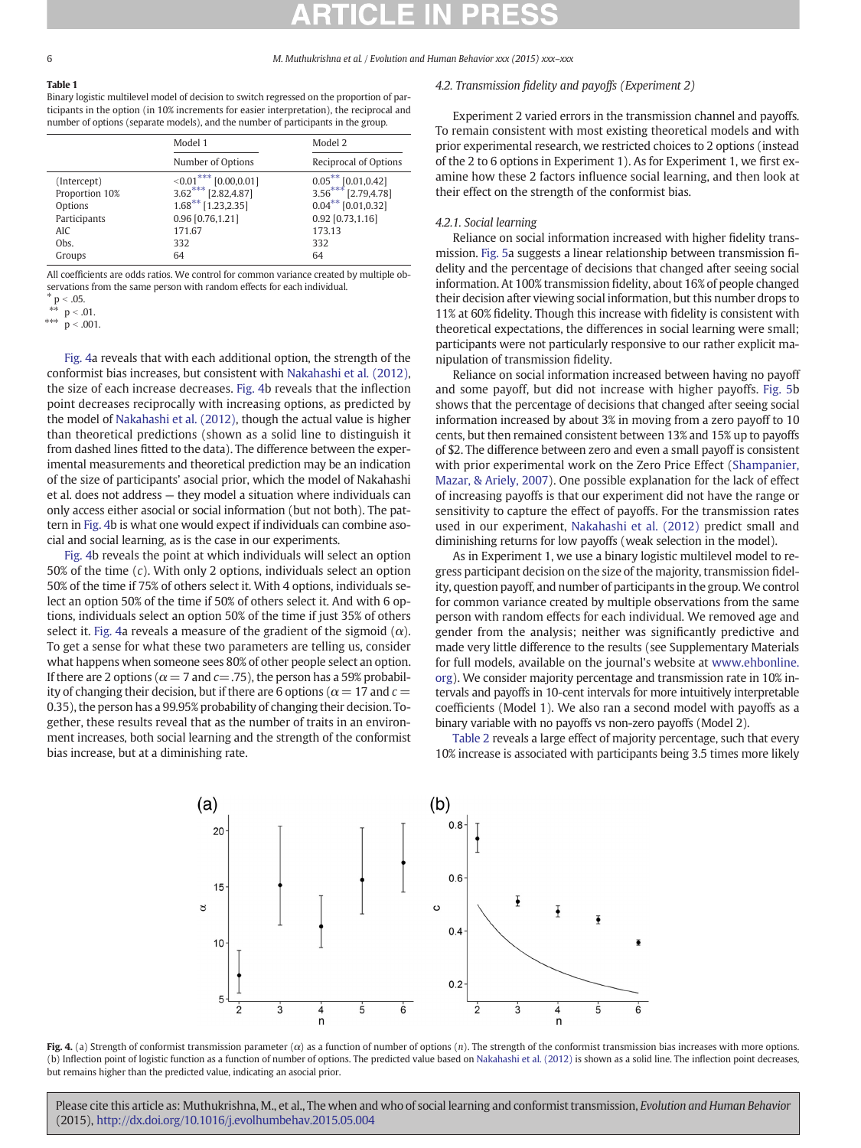### <span id="page-5-0"></span>Table 1

Binary logistic multilevel model of decision to switch regressed on the proportion of participants in the option (in 10% increments for easier interpretation), the reciprocal and number of options (separate models), and the number of participants in the group.

|                | Model 1                           | Model 2                          |
|----------------|-----------------------------------|----------------------------------|
|                | Number of Options                 | Reciprocal of Options            |
| (Intercept)    | $\leq 0.01$ *** l<br>[0.00, 0.01] | $0.05***$ [0.01,0.42]            |
| Proportion 10% | $3.62***$<br>[2.82, 4.87]         | $3.56***$ [2.79,4.78]            |
| Options        | $1.68***$ [1.23, 2.35]            | $0.04$ <sup>**</sup> [0.01,0.32] |
| Participants   | 0.96 [0.76,1.21]                  | 0.92 [0.73,1.16]                 |
| <b>AIC</b>     | 171.67                            | 173.13                           |
| Obs.           | 332                               | 332                              |
| Groups         | 64                                | 64                               |

All coefficients are odds ratios. We control for common variance created by multiple observations from the same person with random effects for each individual.

 $p < .05.$ 

 $p < .01$ .

\*\*\*  $p < .001$ .

Fig. 4a reveals that with each additional option, the strength of the conformist bias increases, but consistent with [Nakahashi et al. \(2012\),](#page-10-0) the size of each increase decreases. Fig. 4b reveals that the inflection point decreases reciprocally with increasing options, as predicted by the model of [Nakahashi et al. \(2012\),](#page-10-0) though the actual value is higher than theoretical predictions (shown as a solid line to distinguish it from dashed lines fitted to the data). The difference between the experimental measurements and theoretical prediction may be an indication of the size of participants' asocial prior, which the model of Nakahashi et al. does not address — they model a situation where individuals can only access either asocial or social information (but not both). The pattern in Fig. 4b is what one would expect if individuals can combine asocial and social learning, as is the case in our experiments.

Fig. 4b reveals the point at which individuals will select an option 50% of the time (c). With only 2 options, individuals select an option 50% of the time if 75% of others select it. With 4 options, individuals select an option 50% of the time if 50% of others select it. And with 6 options, individuals select an option 50% of the time if just 35% of others select it. Fig. 4a reveals a measure of the gradient of the sigmoid  $(\alpha)$ . To get a sense for what these two parameters are telling us, consider what happens when someone sees 80% of other people select an option. If there are 2 options ( $\alpha$  = 7 and c=.75), the person has a 59% probability of changing their decision, but if there are 6 options ( $\alpha$  = 17 and  $c$  = 0.35), the person has a 99.95% probability of changing their decision. Together, these results reveal that as the number of traits in an environment increases, both social learning and the strength of the conformist bias increase, but at a diminishing rate.

### 4.2. Transmission fidelity and payoffs (Experiment 2)

Experiment 2 varied errors in the transmission channel and payoffs. To remain consistent with most existing theoretical models and with prior experimental research, we restricted choices to 2 options (instead of the 2 to 6 options in Experiment 1). As for Experiment 1, we first examine how these 2 factors influence social learning, and then look at their effect on the strength of the conformist bias.

### 4.2.1. Social learning

Reliance on social information increased with higher fidelity transmission. [Fig. 5a](#page-6-0) suggests a linear relationship between transmission fidelity and the percentage of decisions that changed after seeing social information. At 100% transmission fidelity, about 16% of people changed their decision after viewing social information, but this number drops to 11% at 60% fidelity. Though this increase with fidelity is consistent with theoretical expectations, the differences in social learning were small; participants were not particularly responsive to our rather explicit manipulation of transmission fidelity.

Reliance on social information increased between having no payoff and some payoff, but did not increase with higher payoffs. [Fig. 5b](#page-6-0) shows that the percentage of decisions that changed after seeing social information increased by about 3% in moving from a zero payoff to 10 cents, but then remained consistent between 13% and 15% up to payoffs of \$2. The difference between zero and even a small payoff is consistent with prior experimental work on the Zero Price Effect ([Shampanier,](#page-10-0) [Mazar, & Ariely, 2007](#page-10-0)). One possible explanation for the lack of effect of increasing payoffs is that our experiment did not have the range or sensitivity to capture the effect of payoffs. For the transmission rates used in our experiment, [Nakahashi et al. \(2012\)](#page-10-0) predict small and diminishing returns for low payoffs (weak selection in the model).

As in Experiment 1, we use a binary logistic multilevel model to regress participant decision on the size of the majority, transmission fidelity, question payoff, and number of participants in the group.We control for common variance created by multiple observations from the same person with random effects for each individual. We removed age and gender from the analysis; neither was significantly predictive and made very little difference to the results (see Supplementary Materials for full models, available on the journal's website at [www.ehbonline.](http://www.ehbonline.org) [org](http://www.ehbonline.org)). We consider majority percentage and transmission rate in 10% intervals and payoffs in 10-cent intervals for more intuitively interpretable coefficients (Model 1). We also ran a second model with payoffs as a binary variable with no payoffs vs non-zero payoffs (Model 2).

[Table 2](#page-6-0) reveals a large effect of majority percentage, such that every 10% increase is associated with participants being 3.5 times more likely



Fig. 4. (a) Strength of conformist transmission parameter  $(\alpha)$  as a function of number of options (n). The strength of the conformist transmission bias increases with more options. (b) Inflection point of logistic function as a function of number of options. The predicted value based on [Nakahashi et al. \(2012\)](#page-10-0) is shown as a solid line. The inflection point decreases, but remains higher than the predicted value, indicating an asocial prior.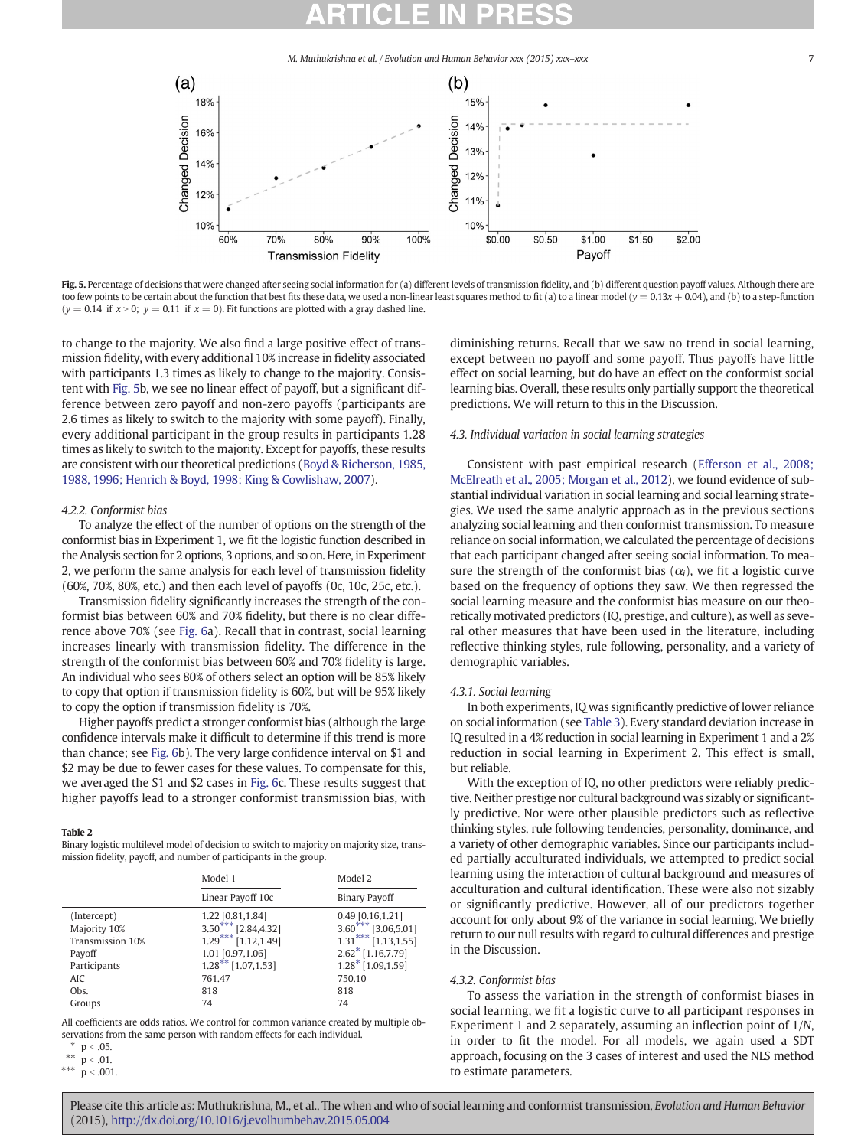<span id="page-6-0"></span>



to change to the majority. We also find a large positive effect of transmission fidelity, with every additional 10% increase in fidelity associated with participants 1.3 times as likely to change to the majority. Consistent with Fig. 5b, we see no linear effect of payoff, but a significant difference between zero payoff and non-zero payoffs (participants are 2.6 times as likely to switch to the majority with some payoff). Finally, every additional participant in the group results in participants 1.28 times as likely to switch to the majority. Except for payoffs, these results are consistent with our theoretical predictions [\(Boyd & Richerson, 1985,](#page-9-0) [1988, 1996; Henrich & Boyd, 1998; King & Cowlishaw, 2007](#page-9-0)).

### 4.2.2. Conformist bias

To analyze the effect of the number of options on the strength of the conformist bias in Experiment 1, we fit the logistic function described in the Analysis section for 2 options, 3 options, and so on. Here, in Experiment 2, we perform the same analysis for each level of transmission fidelity (60%, 70%, 80%, etc.) and then each level of payoffs (0c, 10c, 25c, etc.).

Transmission fidelity significantly increases the strength of the conformist bias between 60% and 70% fidelity, but there is no clear difference above 70% (see [Fig. 6](#page-7-0)a). Recall that in contrast, social learning increases linearly with transmission fidelity. The difference in the strength of the conformist bias between 60% and 70% fidelity is large. An individual who sees 80% of others select an option will be 85% likely to copy that option if transmission fidelity is 60%, but will be 95% likely to copy the option if transmission fidelity is 70%.

Higher payoffs predict a stronger conformist bias (although the large confidence intervals make it difficult to determine if this trend is more than chance; see [Fig. 6b](#page-7-0)). The very large confidence interval on \$1 and \$2 may be due to fewer cases for these values. To compensate for this, we averaged the \$1 and \$2 cases in [Fig. 6](#page-7-0)c. These results suggest that higher payoffs lead to a stronger conformist transmission bias, with

### Table 2

Binary logistic multilevel model of decision to switch to majority on majority size, transmission fidelity, payoff, and number of participants in the group.

|                  | Model 1               | Model 2                         |
|------------------|-----------------------|---------------------------------|
|                  | Linear Payoff 10c     | <b>Binary Payoff</b>            |
| (Intercept)      | 1.22 [0.81,1.84]      | $0.49$ [0.16,1.21]              |
| Majority 10%     | $3.50***$ [2.84,4.32] | $3.60***$ [3.06,5.01]           |
| Transmission 10% | $1.29***$ [1.12,1.49] | $1.31***$ [1.13,1.55]           |
| Payoff           | 1.01 [0.97,1.06]      | $2.62$ <sup>*</sup> [1.16,7.79] |
| Participants     | $1.28***$ [1.07,1.53] | $1.28$ <sup>*</sup> [1.09,1.59] |
| AIC.             | 761.47                | 750.10                          |
| Obs.             | 818                   | 818                             |
| Groups           | 74                    | 74                              |

All coefficients are odds ratios. We control for common variance created by multiple observations from the same person with random effects for each individual.

 $p < .001$ .

diminishing returns. Recall that we saw no trend in social learning, except between no payoff and some payoff. Thus payoffs have little effect on social learning, but do have an effect on the conformist social learning bias. Overall, these results only partially support the theoretical predictions. We will return to this in the Discussion.

### 4.3. Individual variation in social learning strategies

Consistent with past empirical research ([Efferson et al., 2008;](#page-9-0) [McElreath et al., 2005; Morgan et al., 2012](#page-9-0)), we found evidence of substantial individual variation in social learning and social learning strategies. We used the same analytic approach as in the previous sections analyzing social learning and then conformist transmission. To measure reliance on social information, we calculated the percentage of decisions that each participant changed after seeing social information. To measure the strength of the conformist bias  $(\alpha_i)$ , we fit a logistic curve based on the frequency of options they saw. We then regressed the social learning measure and the conformist bias measure on our theoretically motivated predictors (IQ, prestige, and culture), as well as several other measures that have been used in the literature, including reflective thinking styles, rule following, personality, and a variety of demographic variables.

### 4.3.1. Social learning

In both experiments, IQ was significantly predictive of lower reliance on social information (see [Table 3\)](#page-7-0). Every standard deviation increase in IQ resulted in a 4% reduction in social learning in Experiment 1 and a 2% reduction in social learning in Experiment 2. This effect is small, but reliable.

With the exception of IQ, no other predictors were reliably predictive. Neither prestige nor cultural background was sizably or significantly predictive. Nor were other plausible predictors such as reflective thinking styles, rule following tendencies, personality, dominance, and a variety of other demographic variables. Since our participants included partially acculturated individuals, we attempted to predict social learning using the interaction of cultural background and measures of acculturation and cultural identification. These were also not sizably or significantly predictive. However, all of our predictors together account for only about 9% of the variance in social learning. We briefly return to our null results with regard to cultural differences and prestige in the Discussion.

### 4.3.2. Conformist bias

To assess the variation in the strength of conformist biases in social learning, we fit a logistic curve to all participant responses in Experiment 1 and 2 separately, assuming an inflection point of 1/N, in order to fit the model. For all models, we again used a SDT approach, focusing on the 3 cases of interest and used the NLS method to estimate parameters.

<sup>\*</sup>  $p < .05$ .<br>\*\*  $p < .01$ 

<sup>\*\*</sup>  $p < .01$ .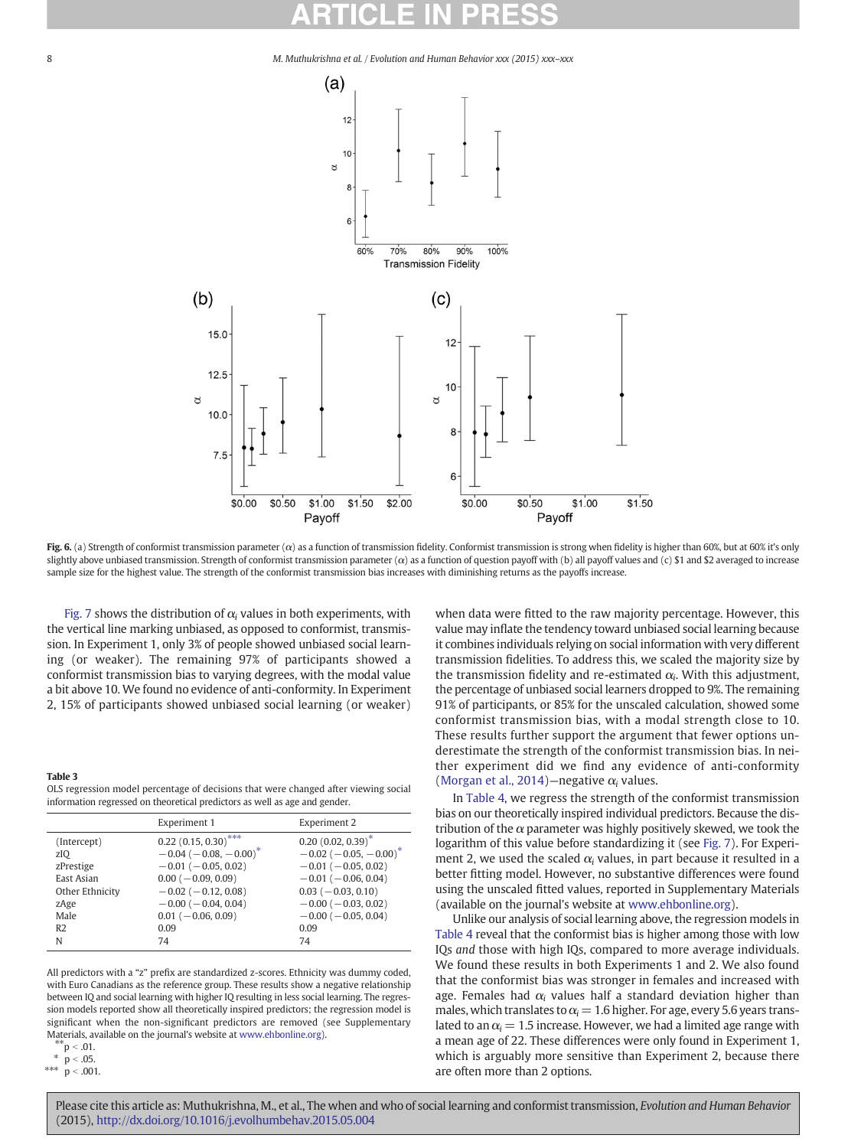<span id="page-7-0"></span>

Fig. 6. (a) Strength of conformist transmission parameter  $(\alpha)$  as a function of transmission fidelity. Conformist transmission is strong when fidelity is higher than 60%, but at 60% it's only slightly above unbiased transmission. Strength of conformist transmission parameter (α) as a function of question payoff with (b) all payoff values and (c) \$1 and \$2 averaged to increase sample size for the highest value. The strength of the conformist transmission bias increases with diminishing returns as the payoffs increase.

[Fig. 7](#page-8-0) shows the distribution of  $\alpha_i$  values in both experiments, with the vertical line marking unbiased, as opposed to conformist, transmission. In Experiment 1, only 3% of people showed unbiased social learning (or weaker). The remaining 97% of participants showed a conformist transmission bias to varying degrees, with the modal value a bit above 10. We found no evidence of anti-conformity. In Experiment 2, 15% of participants showed unbiased social learning (or weaker)

### Table 3

OLS regression model percentage of decisions that were changed after viewing social information regressed on theoretical predictors as well as age and gender.

|                                                                                                    | Experiment 1                                                                                                                                                                                                                     | Experiment 2                                                                                                                                                                                                        |
|----------------------------------------------------------------------------------------------------|----------------------------------------------------------------------------------------------------------------------------------------------------------------------------------------------------------------------------------|---------------------------------------------------------------------------------------------------------------------------------------------------------------------------------------------------------------------|
| (Intercept)<br>zIO<br>zPrestige<br>East Asian<br>Other Ethnicity<br>zAge<br>Male<br>R <sub>2</sub> | $0.22$ (0.15, 0.30) <sup>***</sup><br>$-0.04$ ( $-0.08, -0.00$ ) <sup>*</sup><br>$-0.01$ ( $-0.05, 0.02$ )<br>$0.00 (-0.09, 0.09)$<br>$-0.02$ ( $-0.12$ , 0.08)<br>$-0.00$ ( $-0.04$ , 0.04)<br>$0.01$ ( $-0.06, 0.09$ )<br>0.09 | $0.20(0.02, 0.39)^*$<br>$-0.02$ ( $-0.05, -0.00$ ) <sup>*</sup><br>$-0.01$ ( $-0.05, 0.02$ )<br>$-0.01$ ( $-0.06$ , 0.04)<br>$0.03 (-0.03, 0.10)$<br>$-0.00$ ( $-0.03, 0.02$ )<br>$-0.00$ ( $-0.05, 0.04$ )<br>0.09 |
| N                                                                                                  | 74                                                                                                                                                                                                                               | 74                                                                                                                                                                                                                  |

All predictors with a "z" prefix are standardized z-scores. Ethnicity was dummy coded, with Euro Canadians as the reference group. These results show a negative relationship between IQ and social learning with higher IQ resulting in less social learning. The regression models reported show all theoretically inspired predictors; the regression model is significant when the non-significant predictors are removed (see Supplementary Materials, available on the journal's website at [www.ehbonline.org](http://www.ehbonline.org)).

 $*$  $p < .01$ .

 $p < .05$ .

\*\*\*  $p < .001$ .

when data were fitted to the raw majority percentage. However, this value may inflate the tendency toward unbiased social learning because it combines individuals relying on social information with very different transmission fidelities. To address this, we scaled the majority size by the transmission fidelity and re-estimated  $\alpha_i$ . With this adjustment, the percentage of unbiased social learners dropped to 9%. The remaining 91% of participants, or 85% for the unscaled calculation, showed some conformist transmission bias, with a modal strength close to 10. These results further support the argument that fewer options underestimate the strength of the conformist transmission bias. In neither experiment did we find any evidence of anti-conformity ([Morgan et al., 2014](#page-10-0))—negative  $\alpha_i$  values.

In [Table 4](#page-8-0), we regress the strength of the conformist transmission bias on our theoretically inspired individual predictors. Because the distribution of the  $\alpha$  parameter was highly positively skewed, we took the logarithm of this value before standardizing it (see [Fig. 7](#page-8-0)). For Experiment 2, we used the scaled  $\alpha_i$  values, in part because it resulted in a better fitting model. However, no substantive differences were found using the unscaled fitted values, reported in Supplementary Materials (available on the journal's website at [www.ehbonline.org](http://www.ehbonline.org)).

Unlike our analysis of social learning above, the regression models in [Table 4](#page-8-0) reveal that the conformist bias is higher among those with low IQs and those with high IQs, compared to more average individuals. We found these results in both Experiments 1 and 2. We also found that the conformist bias was stronger in females and increased with age. Females had  $\alpha_i$  values half a standard deviation higher than males, which translates to  $\alpha_i = 1.6$  higher. For age, every 5.6 years translated to an  $\alpha_i = 1.5$  increase. However, we had a limited age range with a mean age of 22. These differences were only found in Experiment 1, which is arguably more sensitive than Experiment 2, because there are often more than 2 options.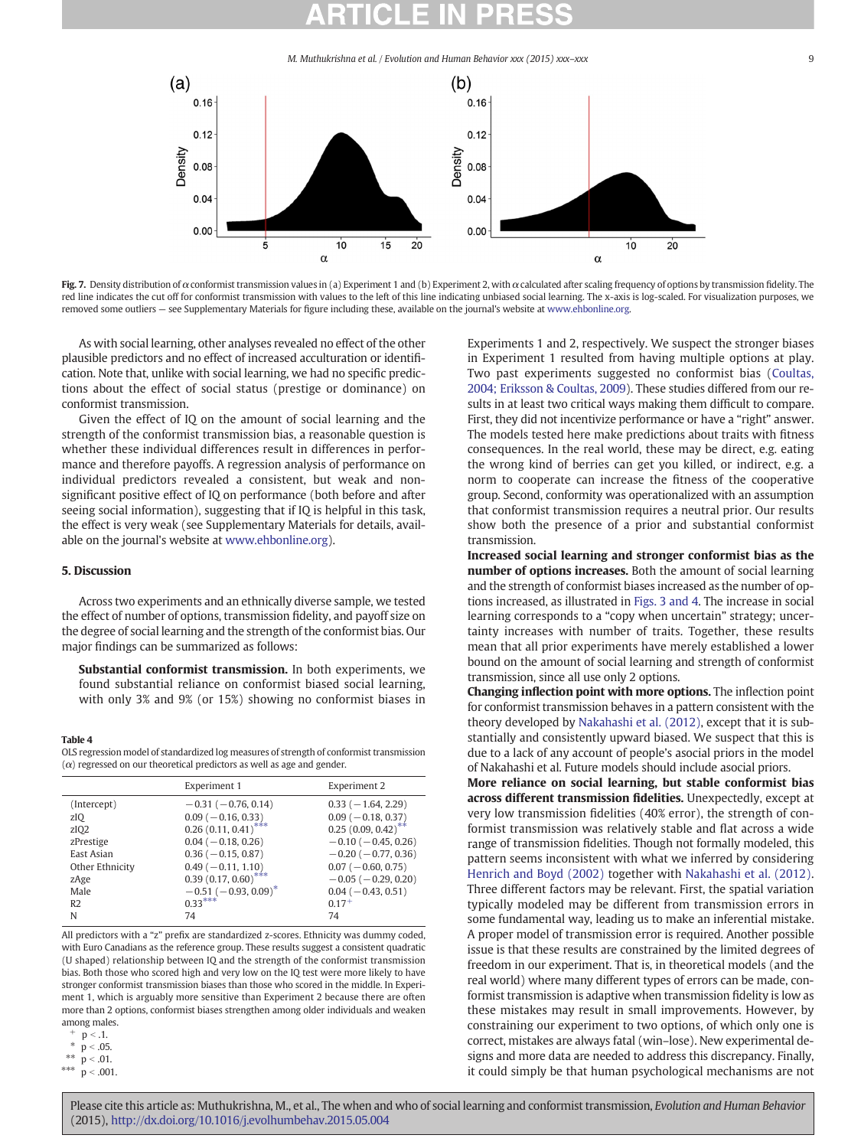<span id="page-8-0"></span>



As with social learning, other analyses revealed no effect of the other plausible predictors and no effect of increased acculturation or identification. Note that, unlike with social learning, we had no specific predictions about the effect of social status (prestige or dominance) on conformist transmission.

Given the effect of IQ on the amount of social learning and the strength of the conformist transmission bias, a reasonable question is whether these individual differences result in differences in performance and therefore payoffs. A regression analysis of performance on individual predictors revealed a consistent, but weak and nonsignificant positive effect of IQ on performance (both before and after seeing social information), suggesting that if IQ is helpful in this task, the effect is very weak (see Supplementary Materials for details, available on the journal's website at [www.ehbonline.org](http://www.ehbonline.org)).

### 5. Discussion

Across two experiments and an ethnically diverse sample, we tested the effect of number of options, transmission fidelity, and payoff size on the degree of social learning and the strength of the conformist bias. Our major findings can be summarized as follows:

Substantial conformist transmission. In both experiments, we found substantial reliance on conformist biased social learning, with only 3% and 9% (or 15%) showing no conformist biases in

### Table 4

OLS regression model of standardized log measures of strength of conformist transmission  $(\alpha)$  regressed on our theoretical predictors as well as age and gender.

|                  | Experiment 1             | Experiment 2                     |
|------------------|--------------------------|----------------------------------|
| (Intercept)      | $-0.31(-0.76, 0.14)$     | $0.33(-1.64, 2.29)$              |
| zIQ              | $0.09$ ( $-0.16$ , 0.33) | $0.09 (-0.18, 0.37)$             |
| zIQ <sub>2</sub> | $0.26(0.11, 0.41)$ ***   | $0.25(0.09, 0.42)$ <sup>**</sup> |
| zPrestige        | $0.04 (-0.18, 0.26)$     | $-0.10$ ( $-0.45$ , 0.26)        |
| East Asian       | $0.36$ ( $-0.15$ , 0.87) | $-0.20$ ( $-0.77, 0.36$ )        |
| Other Ethnicity  | $0.49(-0.11, 1.10)$      | $0.07 (-0.60, 0.75)$             |
| zAge             | $0.39(0.17, 0.60)$ ***   | $-0.05$ ( $-0.29$ , 0.20)        |
| Male             | $-0.51(-0.93, 0.09)^{*}$ | $0.04 (-0.43, 0.51)$             |
| R <sub>2</sub>   | $0.33***$                | $0.17+$                          |
| N                | 74                       | 74                               |

All predictors with a "z" prefix are standardized z-scores. Ethnicity was dummy coded, with Euro Canadians as the reference group. These results suggest a consistent quadratic (U shaped) relationship between IQ and the strength of the conformist transmission bias. Both those who scored high and very low on the IQ test were more likely to have stronger conformist transmission biases than those who scored in the middle. In Experiment 1, which is arguably more sensitive than Experiment 2 because there are often more than 2 options, conformist biases strengthen among older individuals and weaken among males.

 $p < .001$ .

Experiments 1 and 2, respectively. We suspect the stronger biases in Experiment 1 resulted from having multiple options at play. Two past experiments suggested no conformist bias ([Coultas,](#page-9-0) [2004; Eriksson & Coultas, 2009\)](#page-9-0). These studies differed from our results in at least two critical ways making them difficult to compare. First, they did not incentivize performance or have a "right" answer. The models tested here make predictions about traits with fitness consequences. In the real world, these may be direct, e.g. eating the wrong kind of berries can get you killed, or indirect, e.g. a norm to cooperate can increase the fitness of the cooperative group. Second, conformity was operationalized with an assumption that conformist transmission requires a neutral prior. Our results show both the presence of a prior and substantial conformist transmission.

Increased social learning and stronger conformist bias as the number of options increases. Both the amount of social learning and the strength of conformist biases increased as the number of options increased, as illustrated in [Figs. 3 and 4.](#page-4-0) The increase in social learning corresponds to a "copy when uncertain" strategy; uncertainty increases with number of traits. Together, these results mean that all prior experiments have merely established a lower bound on the amount of social learning and strength of conformist transmission, since all use only 2 options.

Changing inflection point with more options. The inflection point for conformist transmission behaves in a pattern consistent with the theory developed by [Nakahashi et al. \(2012\)](#page-10-0), except that it is substantially and consistently upward biased. We suspect that this is due to a lack of any account of people's asocial priors in the model of Nakahashi et al. Future models should include asocial priors.

More reliance on social learning, but stable conformist bias across different transmission fidelities. Unexpectedly, except at very low transmission fidelities (40% error), the strength of conformist transmission was relatively stable and flat across a wide range of transmission fidelities. Though not formally modeled, this pattern seems inconsistent with what we inferred by considering [Henrich and Boyd \(2002\)](#page-10-0) together with [Nakahashi et al. \(2012\).](#page-10-0) Three different factors may be relevant. First, the spatial variation typically modeled may be different from transmission errors in some fundamental way, leading us to make an inferential mistake. A proper model of transmission error is required. Another possible issue is that these results are constrained by the limited degrees of freedom in our experiment. That is, in theoretical models (and the real world) where many different types of errors can be made, conformist transmission is adaptive when transmission fidelity is low as these mistakes may result in small improvements. However, by constraining our experiment to two options, of which only one is correct, mistakes are always fatal (win–lose). New experimental designs and more data are needed to address this discrepancy. Finally, it could simply be that human psychological mechanisms are not

 $+$  p < .1.

<sup>\*</sup>  $p < .05$ .<br>\*\*  $p < .01$ 

<sup>\*\*</sup>  $p < .01$ .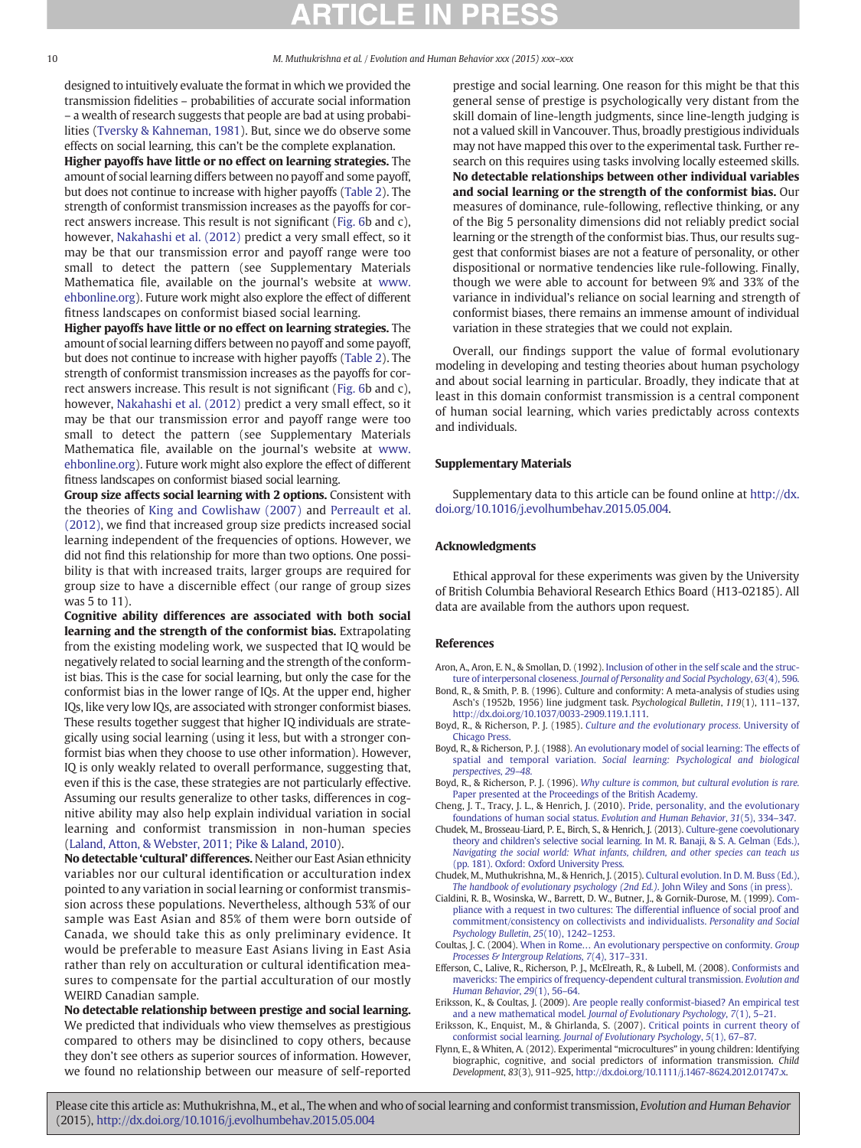<span id="page-9-0"></span>

designed to intuitively evaluate the format in which we provided the transmission fidelities – probabilities of accurate social information – a wealth of research suggests that people are bad at using probabilities [\(Tversky & Kahneman, 1981\)](#page-10-0). But, since we do observe some effects on social learning, this can't be the complete explanation.

Higher payoffs have little or no effect on learning strategies. The amount of social learning differs between no payoff and some payoff, but does not continue to increase with higher payoffs [\(Table 2](#page-6-0)). The strength of conformist transmission increases as the payoffs for correct answers increase. This result is not significant ([Fig. 6b](#page-7-0) and c), however, [Nakahashi et al. \(2012\)](#page-10-0) predict a very small effect, so it may be that our transmission error and payoff range were too small to detect the pattern (see Supplementary Materials Mathematica file, available on the journal's website at [www.](http://www.ehbonline.org) [ehbonline.org](http://www.ehbonline.org)). Future work might also explore the effect of different fitness landscapes on conformist biased social learning.

Higher payoffs have little or no effect on learning strategies. The amount of social learning differs between no payoff and some payoff, but does not continue to increase with higher payoffs [\(Table 2](#page-6-0)). The strength of conformist transmission increases as the payoffs for correct answers increase. This result is not significant ([Fig. 6b](#page-7-0) and c), however, [Nakahashi et al. \(2012\)](#page-10-0) predict a very small effect, so it may be that our transmission error and payoff range were too small to detect the pattern (see Supplementary Materials Mathematica file, available on the journal's website at [www.](http://www.ehbonline.org) [ehbonline.org](http://www.ehbonline.org)). Future work might also explore the effect of different fitness landscapes on conformist biased social learning.

Group size affects social learning with 2 options. Consistent with the theories of [King and Cowlishaw \(2007\)](#page-10-0) and [Perreault et al.](#page-10-0) [\(2012\)](#page-10-0), we find that increased group size predicts increased social learning independent of the frequencies of options. However, we did not find this relationship for more than two options. One possibility is that with increased traits, larger groups are required for group size to have a discernible effect (our range of group sizes was 5 to 11).

Cognitive ability differences are associated with both social learning and the strength of the conformist bias. Extrapolating from the existing modeling work, we suspected that IQ would be negatively related to social learning and the strength of the conformist bias. This is the case for social learning, but only the case for the conformist bias in the lower range of IQs. At the upper end, higher IQs, like very low IQs, are associated with stronger conformist biases. These results together suggest that higher IQ individuals are strategically using social learning (using it less, but with a stronger conformist bias when they choose to use other information). However, IQ is only weakly related to overall performance, suggesting that, even if this is the case, these strategies are not particularly effective. Assuming our results generalize to other tasks, differences in cognitive ability may also help explain individual variation in social learning and conformist transmission in non-human species ([Laland, Atton, & Webster, 2011; Pike & Laland, 2010](#page-10-0)).

No detectable 'cultural' differences. Neither our East Asian ethnicity variables nor our cultural identification or acculturation index pointed to any variation in social learning or conformist transmission across these populations. Nevertheless, although 53% of our sample was East Asian and 85% of them were born outside of Canada, we should take this as only preliminary evidence. It would be preferable to measure East Asians living in East Asia rather than rely on acculturation or cultural identification measures to compensate for the partial acculturation of our mostly WEIRD Canadian sample.

No detectable relationship between prestige and social learning. We predicted that individuals who view themselves as prestigious compared to others may be disinclined to copy others, because they don't see others as superior sources of information. However, we found no relationship between our measure of self-reported prestige and social learning. One reason for this might be that this general sense of prestige is psychologically very distant from the skill domain of line-length judgments, since line-length judging is not a valued skill in Vancouver. Thus, broadly prestigious individuals may not have mapped this over to the experimental task. Further research on this requires using tasks involving locally esteemed skills. No detectable relationships between other individual variables and social learning or the strength of the conformist bias. Our measures of dominance, rule-following, reflective thinking, or any of the Big 5 personality dimensions did not reliably predict social learning or the strength of the conformist bias. Thus, our results suggest that conformist biases are not a feature of personality, or other dispositional or normative tendencies like rule-following. Finally, though we were able to account for between 9% and 33% of the variance in individual's reliance on social learning and strength of conformist biases, there remains an immense amount of individual variation in these strategies that we could not explain.

Overall, our findings support the value of formal evolutionary modeling in developing and testing theories about human psychology and about social learning in particular. Broadly, they indicate that at least in this domain conformist transmission is a central component of human social learning, which varies predictably across contexts and individuals.

### Supplementary Materials

Supplementary data to this article can be found online at [http://dx.](http://dx.doi.org/10.1016/j.evolhumbehav.2015.05.004) [doi.org/10.1016/j.evolhumbehav.2015.05.004](http://dx.doi.org/10.1016/j.evolhumbehav.2015.05.004).

### Acknowledgments

Ethical approval for these experiments was given by the University of British Columbia Behavioral Research Ethics Board (H13-02185). All data are available from the authors upon request.

### **References**

- Aron, A., Aron, E. N., & Smollan, D. (1992). [Inclusion of other in the self scale and the struc](http://refhub.elsevier.com/S1090-5138(15)00058-6/rf0005)ture of interpersonal closeness. [Journal of Personality and Social Psychology](http://refhub.elsevier.com/S1090-5138(15)00058-6/rf0005), 63(4), 596.
- Bond, R., & Smith, P. B. (1996). Culture and conformity: A meta-analysis of studies using Asch's (1952b, 1956) line judgment task. Psychological Bulletin, 119(1), 111–137, http://dx.doi.org[/10.1037/0033-2909.119.1.111](http://dx.doi.org/10.1037/0033-2909.119.1.111).
- Boyd, R., & Richerson, P. J. (1985). [Culture and the evolutionary process.](http://refhub.elsevier.com/S1090-5138(15)00058-6/rf0015) University of [Chicago Press.](http://refhub.elsevier.com/S1090-5138(15)00058-6/rf0015)
- Boyd, R., & Richerson, P. J. (1988). [An evolutionary model of social learning: The effects of](http://refhub.elsevier.com/S1090-5138(15)00058-6/rf0020) spatial and temporal variation. [Social learning: Psychological and biological](http://refhub.elsevier.com/S1090-5138(15)00058-6/rf0020) [perspectives](http://refhub.elsevier.com/S1090-5138(15)00058-6/rf0020), 29–48.
- Boyd, R., & Richerson, P. J. (1996). [Why culture is common, but cultural evolution is rare.](http://refhub.elsevier.com/S1090-5138(15)00058-6/rf0175) [Paper presented at the Proceedings of the British Academy.](http://refhub.elsevier.com/S1090-5138(15)00058-6/rf0175)
- Cheng, J. T., Tracy, J. L., & Henrich, J. (2010). [Pride, personality, and the evolutionary](http://refhub.elsevier.com/S1090-5138(15)00058-6/rf0030) [foundations of human social status.](http://refhub.elsevier.com/S1090-5138(15)00058-6/rf0030) Evolution and Human Behavior, 31(5), 334–347.
- Chudek, M., Brosseau‐Liard, P. E., Birch, S., & Henrich, J. (2013). [Culture-gene coevolutionary](http://refhub.elsevier.com/S1090-5138(15)00058-6/rf0035) theory and children'[s selective social learning. In M. R. Banaji, & S. A. Gelman \(Eds.\),](http://refhub.elsevier.com/S1090-5138(15)00058-6/rf0035) [Navigating the social world: What infants, children, and other species can teach us](http://refhub.elsevier.com/S1090-5138(15)00058-6/rf0035) [\(pp. 181\). Oxford: Oxford University Press.](http://refhub.elsevier.com/S1090-5138(15)00058-6/rf0035)
- Chudek, M., Muthukrishna, M., & Henrich, J. (2015). [Cultural evolution. In D. M. Buss \(Ed.\),](http://refhub.elsevier.com/S1090-5138(15)00058-6/rf1135) [The handbook of evolutionary psychology \(2nd Ed.\)](http://refhub.elsevier.com/S1090-5138(15)00058-6/rf1135). John Wiley and Sons (in press).
- Cialdini, R. B., Wosinska, W., Barrett, D. W., Butner, J., & Gornik-Durose, M. (1999). [Com](http://refhub.elsevier.com/S1090-5138(15)00058-6/rf0040)[pliance with a request in two cultures: The differential in](http://refhub.elsevier.com/S1090-5138(15)00058-6/rf0040)fluence of social proof and [commitment/consistency on collectivists and individualists.](http://refhub.elsevier.com/S1090-5138(15)00058-6/rf0040) Personality and Social [Psychology Bulletin](http://refhub.elsevier.com/S1090-5138(15)00058-6/rf0040), 25(10), 1242–1253.
- Coultas, J. C. (2004). When in Rome… [An evolutionary perspective on conformity.](http://refhub.elsevier.com/S1090-5138(15)00058-6/rf0045) Group [Processes & Intergroup Relations](http://refhub.elsevier.com/S1090-5138(15)00058-6/rf0045), 7(4), 317–331.
- Efferson, C., Lalive, R., Richerson, P. J., McElreath, R., & Lubell, M. (2008). [Conformists and](http://refhub.elsevier.com/S1090-5138(15)00058-6/rf0050) [mavericks: The empirics of frequency-dependent cultural transmission.](http://refhub.elsevier.com/S1090-5138(15)00058-6/rf0050) Evolution and [Human Behavior](http://refhub.elsevier.com/S1090-5138(15)00058-6/rf0050), 29(1), 56–64.
- Eriksson, K., & Coultas, J. (2009). [Are people really conformist-biased? An empirical test](http://refhub.elsevier.com/S1090-5138(15)00058-6/rf0055) and a new mathematical model. [Journal of Evolutionary Psychology](http://refhub.elsevier.com/S1090-5138(15)00058-6/rf0055), 7(1), 5–21.
- Eriksson, K., Enquist, M., & Ghirlanda, S. (2007). [Critical points in current theory of](http://refhub.elsevier.com/S1090-5138(15)00058-6/rf0060) conformist social learning. [Journal of Evolutionary Psychology](http://refhub.elsevier.com/S1090-5138(15)00058-6/rf0060), 5(1), 67–87.
- Flynn, E., & Whiten, A. (2012). Experimental "microcultures" in young children: Identifying biographic, cognitive, and social predictors of information transmission. Child Development, 83(3), 911–925, http://dx.doi.org[/10.1111/j.1467-8624.2012.01747.x](http://dx.doi.org/10.1111/j.1467-8624.2012.01747.x).